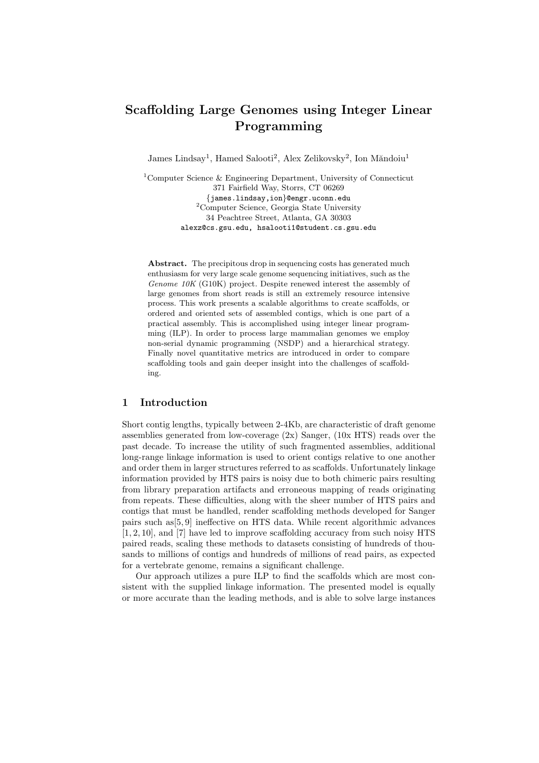# Scaffolding Large Genomes using Integer Linear Programming

James Lindsay<sup>1</sup>, Hamed Salooti<sup>2</sup>, Alex Zelikovsky<sup>2</sup>, Ion Măndoiu<sup>1</sup>

<sup>1</sup>Computer Science & Engineering Department, University of Connecticut 371 Fairfield Way, Storrs, CT 06269 {james.lindsay,ion}@engr.uconn.edu <sup>2</sup>Computer Science, Georgia State University 34 Peachtree Street, Atlanta, GA 30303 alexz@cs.gsu.edu, hsalooti1@student.cs.gsu.edu

Abstract. The precipitous drop in sequencing costs has generated much enthusiasm for very large scale genome sequencing initiatives, such as the Genome 10K (G10K) project. Despite renewed interest the assembly of large genomes from short reads is still an extremely resource intensive process. This work presents a scalable algorithms to create scaffolds, or ordered and oriented sets of assembled contigs, which is one part of a practical assembly. This is accomplished using integer linear programming (ILP). In order to process large mammalian genomes we employ non-serial dynamic programming (NSDP) and a hierarchical strategy. Finally novel quantitative metrics are introduced in order to compare scaffolding tools and gain deeper insight into the challenges of scaffolding.

# 1 Introduction

Short contig lengths, typically between 2-4Kb, are characteristic of draft genome assemblies generated from low-coverage (2x) Sanger, (10x HTS) reads over the past decade. To increase the utility of such fragmented assemblies, additional long-range linkage information is used to orient contigs relative to one another and order them in larger structures referred to as scaffolds. Unfortunately linkage information provided by HTS pairs is noisy due to both chimeric pairs resulting from library preparation artifacts and erroneous mapping of reads originating from repeats. These difficulties, along with the sheer number of HTS pairs and contigs that must be handled, render scaffolding methods developed for Sanger pairs such as[5, 9] ineffective on HTS data. While recent algorithmic advances [1, 2, 10], and [7] have led to improve scaffolding accuracy from such noisy HTS paired reads, scaling these methods to datasets consisting of hundreds of thousands to millions of contigs and hundreds of millions of read pairs, as expected for a vertebrate genome, remains a significant challenge.

Our approach utilizes a pure ILP to find the scaffolds which are most consistent with the supplied linkage information. The presented model is equally or more accurate than the leading methods, and is able to solve large instances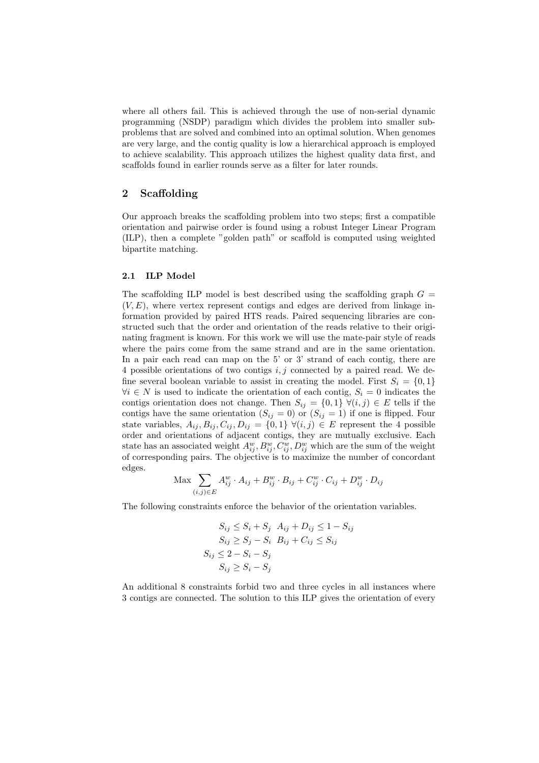where all others fail. This is achieved through the use of non-serial dynamic programming (NSDP) paradigm which divides the problem into smaller subproblems that are solved and combined into an optimal solution. When genomes are very large, and the contig quality is low a hierarchical approach is employed to achieve scalability. This approach utilizes the highest quality data first, and scaffolds found in earlier rounds serve as a filter for later rounds.

# 2 Scaffolding

Our approach breaks the scaffolding problem into two steps; first a compatible orientation and pairwise order is found using a robust Integer Linear Program (ILP), then a complete "golden path" or scaffold is computed using weighted bipartite matching.

#### 2.1 ILP Model

The scaffolding ILP model is best described using the scaffolding graph  $G =$  $(V, E)$ , where vertex represent contigs and edges are derived from linkage information provided by paired HTS reads. Paired sequencing libraries are constructed such that the order and orientation of the reads relative to their originating fragment is known. For this work we will use the mate-pair style of reads where the pairs come from the same strand and are in the same orientation. In a pair each read can map on the 5' or 3' strand of each contig, there are 4 possible orientations of two contigs  $i, j$  connected by a paired read. We define several boolean variable to assist in creating the model. First  $S_i = \{0, 1\}$  $\forall i \in N$  is used to indicate the orientation of each contig,  $S_i = 0$  indicates the contigs orientation does not change. Then  $S_{ij} = \{0,1\} \ \forall (i,j) \in E$  tells if the contigs have the same orientation  $(S_{ij} = 0)$  or  $(S_{ij} = 1)$  if one is flipped. Four state variables,  $A_{ij}, B_{ij}, C_{ij}, D_{ij} = \{0,1\} \ \forall (i,j) \in E$  represent the 4 possible order and orientations of adjacent contigs, they are mutually exclusive. Each state has an associated weight  $A_{ij}^w, B_{ij}^w, C_{ij}^w, D_{ij}^w$  which are the sum of the weight of corresponding pairs. The objective is to maximize the number of concordant edges.

$$
\text{Max} \sum_{(i,j) \in E} A_{ij}^w \cdot A_{ij} + B_{ij}^w \cdot B_{ij} + C_{ij}^w \cdot C_{ij} + D_{ij}^w \cdot D_{ij}
$$

The following constraints enforce the behavior of the orientation variables.

$$
S_{ij} \leq S_i + S_j \quad A_{ij} + D_{ij} \leq 1 - S_{ij}
$$
  
\n
$$
S_{ij} \geq S_j - S_i \quad B_{ij} + C_{ij} \leq S_{ij}
$$
  
\n
$$
S_{ij} \leq 2 - S_i - S_j
$$
  
\n
$$
S_{ij} \geq S_i - S_j
$$

An additional 8 constraints forbid two and three cycles in all instances where 3 contigs are connected. The solution to this ILP gives the orientation of every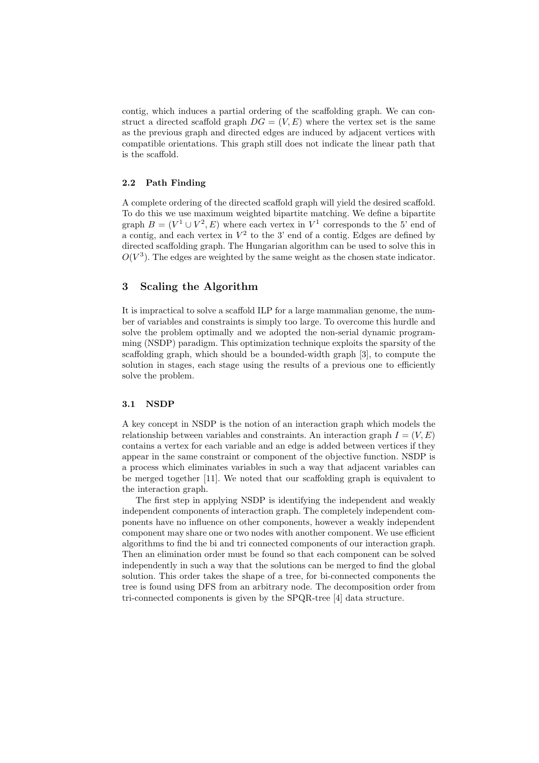contig, which induces a partial ordering of the scaffolding graph. We can construct a directed scaffold graph  $DG = (V, E)$  where the vertex set is the same as the previous graph and directed edges are induced by adjacent vertices with compatible orientations. This graph still does not indicate the linear path that is the scaffold.

# 2.2 Path Finding

A complete ordering of the directed scaffold graph will yield the desired scaffold. To do this we use maximum weighted bipartite matching. We define a bipartite graph  $B = (V^1 \cup V^2, E)$  where each vertex in  $V^1$  corresponds to the 5' end of a contig, and each vertex in  $V^2$  to the 3' end of a contig. Edges are defined by directed scaffolding graph. The Hungarian algorithm can be used to solve this in  $O(V<sup>3</sup>)$ . The edges are weighted by the same weight as the chosen state indicator.

## 3 Scaling the Algorithm

It is impractical to solve a scaffold ILP for a large mammalian genome, the number of variables and constraints is simply too large. To overcome this hurdle and solve the problem optimally and we adopted the non-serial dynamic programming (NSDP) paradigm. This optimization technique exploits the sparsity of the scaffolding graph, which should be a bounded-width graph [3], to compute the solution in stages, each stage using the results of a previous one to efficiently solve the problem.

#### 3.1 NSDP

A key concept in NSDP is the notion of an interaction graph which models the relationship between variables and constraints. An interaction graph  $I = (V, E)$ contains a vertex for each variable and an edge is added between vertices if they appear in the same constraint or component of the objective function. NSDP is a process which eliminates variables in such a way that adjacent variables can be merged together [11]. We noted that our scaffolding graph is equivalent to the interaction graph.

The first step in applying NSDP is identifying the independent and weakly independent components of interaction graph. The completely independent components have no influence on other components, however a weakly independent component may share one or two nodes with another component. We use efficient algorithms to find the bi and tri connected components of our interaction graph. Then an elimination order must be found so that each component can be solved independently in such a way that the solutions can be merged to find the global solution. This order takes the shape of a tree, for bi-connected components the tree is found using DFS from an arbitrary node. The decomposition order from tri-connected components is given by the SPQR-tree [4] data structure.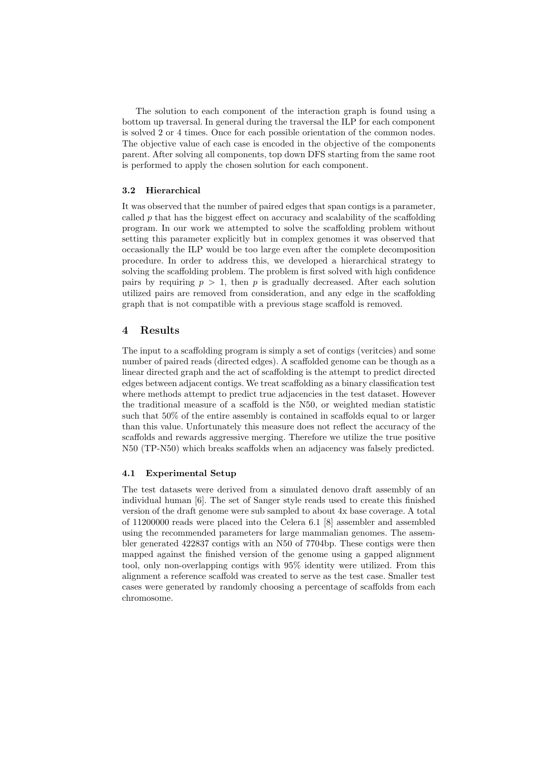The solution to each component of the interaction graph is found using a bottom up traversal. In general during the traversal the ILP for each component is solved 2 or 4 times. Once for each possible orientation of the common nodes. The objective value of each case is encoded in the objective of the components parent. After solving all components, top down DFS starting from the same root is performed to apply the chosen solution for each component.

#### 3.2 Hierarchical

It was observed that the number of paired edges that span contigs is a parameter, called  $p$  that has the biggest effect on accuracy and scalability of the scaffolding program. In our work we attempted to solve the scaffolding problem without setting this parameter explicitly but in complex genomes it was observed that occasionally the ILP would be too large even after the complete decomposition procedure. In order to address this, we developed a hierarchical strategy to solving the scaffolding problem. The problem is first solved with high confidence pairs by requiring  $p > 1$ , then p is gradually decreased. After each solution utilized pairs are removed from consideration, and any edge in the scaffolding graph that is not compatible with a previous stage scaffold is removed.

#### 4 Results

The input to a scaffolding program is simply a set of contigs (veritcies) and some number of paired reads (directed edges). A scaffolded genome can be though as a linear directed graph and the act of scaffolding is the attempt to predict directed edges between adjacent contigs. We treat scaffolding as a binary classification test where methods attempt to predict true adjacencies in the test dataset. However the traditional measure of a scaffold is the N50, or weighted median statistic such that 50% of the entire assembly is contained in scaffolds equal to or larger than this value. Unfortunately this measure does not reflect the accuracy of the scaffolds and rewards aggressive merging. Therefore we utilize the true positive N50 (TP-N50) which breaks scaffolds when an adjacency was falsely predicted.

#### 4.1 Experimental Setup

The test datasets were derived from a simulated denovo draft assembly of an individual human [6]. The set of Sanger style reads used to create this finished version of the draft genome were sub sampled to about 4x base coverage. A total of 11200000 reads were placed into the Celera 6.1 [8] assembler and assembled using the recommended parameters for large mammalian genomes. The assembler generated 422837 contigs with an N50 of 7704bp. These contigs were then mapped against the finished version of the genome using a gapped alignment tool, only non-overlapping contigs with 95% identity were utilized. From this alignment a reference scaffold was created to serve as the test case. Smaller test cases were generated by randomly choosing a percentage of scaffolds from each chromosome.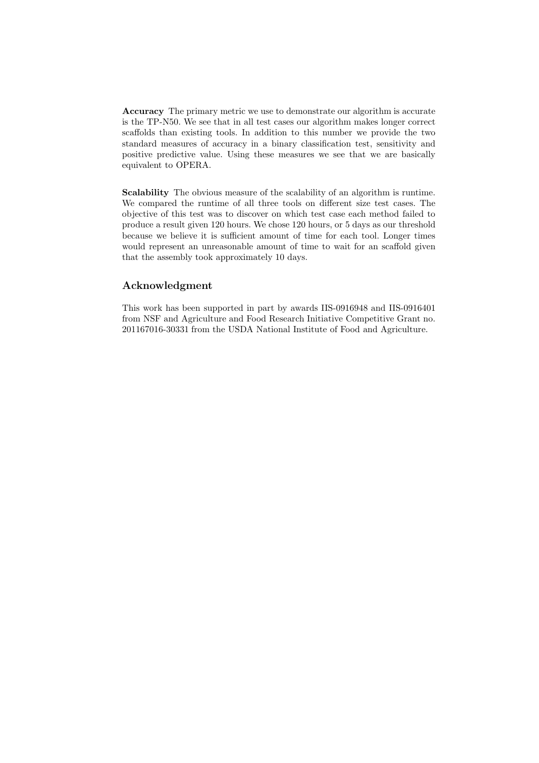Accuracy The primary metric we use to demonstrate our algorithm is accurate is the TP-N50. We see that in all test cases our algorithm makes longer correct scaffolds than existing tools. In addition to this number we provide the two standard measures of accuracy in a binary classification test, sensitivity and positive predictive value. Using these measures we see that we are basically equivalent to OPERA.

Scalability The obvious measure of the scalability of an algorithm is runtime. We compared the runtime of all three tools on different size test cases. The objective of this test was to discover on which test case each method failed to produce a result given 120 hours. We chose 120 hours, or 5 days as our threshold because we believe it is sufficient amount of time for each tool. Longer times would represent an unreasonable amount of time to wait for an scaffold given that the assembly took approximately 10 days.

## Acknowledgment

This work has been supported in part by awards IIS-0916948 and IIS-0916401 from NSF and Agriculture and Food Research Initiative Competitive Grant no. 201167016-30331 from the USDA National Institute of Food and Agriculture.